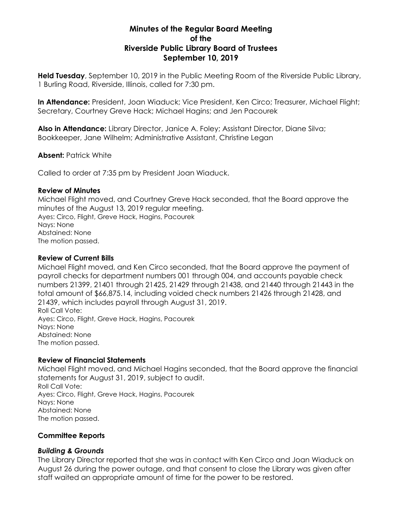# **Minutes of the Regular Board Meeting of the Riverside Public Library Board of Trustees September 10, 2019**

**Held Tuesday**, September 10, 2019 in the Public Meeting Room of the Riverside Public Library, 1 Burling Road, Riverside, Illinois, called for 7:30 pm.

**In Attendance:** President, Joan Wiaduck; Vice President, Ken Circo; Treasurer, Michael Flight; Secretary, Courtney Greve Hack; Michael Hagins; and Jen Pacourek

**Also in Attendance:** Library Director, Janice A. Foley; Assistant Director, Diane Silva; Bookkeeper, Jane Wilhelm; Administrative Assistant, Christine Legan

**Absent:** Patrick White

Called to order at 7:35 pm by President Joan Wiaduck.

## **Review of Minutes**

Michael Flight moved, and Courtney Greve Hack seconded, that the Board approve the minutes of the August 13, 2019 regular meeting. Ayes: Circo, Flight, Greve Hack, Hagins, Pacourek Nays: None Abstained: None The motion passed.

## **Review of Current Bills**

Michael Flight moved, and Ken Circo seconded, that the Board approve the payment of payroll checks for department numbers 001 through 004, and accounts payable check numbers 21399, 21401 through 21425, 21429 through 21438, and 21440 through 21443 in the total amount of \$66,875.14, including voided check numbers 21426 through 21428, and 21439, which includes payroll through August 31, 2019. Roll Call Vote: Ayes: Circo, Flight, Greve Hack, Hagins, Pacourek Nays: None Abstained: None

The motion passed.

## **Review of Financial Statements**

Michael Flight moved, and Michael Hagins seconded, that the Board approve the financial statements for August 31, 2019, subject to audit. Roll Call Vote: Ayes: Circo, Flight, Greve Hack, Hagins, Pacourek Nays: None Abstained: None The motion passed.

## **Committee Reports**

## *Building & Grounds*

The Library Director reported that she was in contact with Ken Circo and Joan Wiaduck on August 26 during the power outage, and that consent to close the Library was given after staff waited an appropriate amount of time for the power to be restored.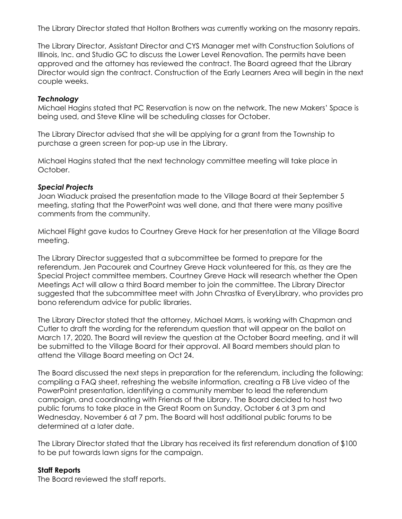The Library Director stated that Holton Brothers was currently working on the masonry repairs.

The Library Director, Assistant Director and CYS Manager met with Construction Solutions of Illinois, Inc. and Studio GC to discuss the Lower Level Renovation. The permits have been approved and the attorney has reviewed the contract. The Board agreed that the Library Director would sign the contract. Construction of the Early Learners Area will begin in the next couple weeks.

### *Technology*

Michael Hagins stated that PC Reservation is now on the network. The new Makers' Space is being used, and Steve Kline will be scheduling classes for October.

The Library Director advised that she will be applying for a grant from the Township to purchase a green screen for pop-up use in the Library.

Michael Hagins stated that the next technology committee meeting will take place in October.

#### *Special Projects*

Joan Wiaduck praised the presentation made to the Village Board at their September 5 meeting, stating that the PowerPoint was well done, and that there were many positive comments from the community.

Michael Flight gave kudos to Courtney Greve Hack for her presentation at the Village Board meeting.

The Library Director suggested that a subcommittee be formed to prepare for the referendum. Jen Pacourek and Courtney Greve Hack volunteered for this, as they are the Special Project committee members. Courtney Greve Hack will research whether the Open Meetings Act will allow a third Board member to join the committee. The Library Director suggested that the subcommittee meet with John Chrastka of EveryLibrary, who provides pro bono referendum advice for public libraries.

The Library Director stated that the attorney, Michael Marrs, is working with Chapman and Cutler to draft the wording for the referendum question that will appear on the ballot on March 17, 2020. The Board will review the question at the October Board meeting, and it will be submitted to the Village Board for their approval. All Board members should plan to attend the Village Board meeting on Oct 24.

The Board discussed the next steps in preparation for the referendum, including the following: compiling a FAQ sheet, refreshing the website information, creating a FB Live video of the PowerPoint presentation, identifying a community member to lead the referendum campaign, and coordinating with Friends of the Library. The Board decided to host two public forums to take place in the Great Room on Sunday, October 6 at 3 pm and Wednesday, November 6 at 7 pm. The Board will host additional public forums to be determined at a later date.

The Library Director stated that the Library has received its first referendum donation of \$100 to be put towards lawn signs for the campaign.

## **Staff Reports**

The Board reviewed the staff reports.